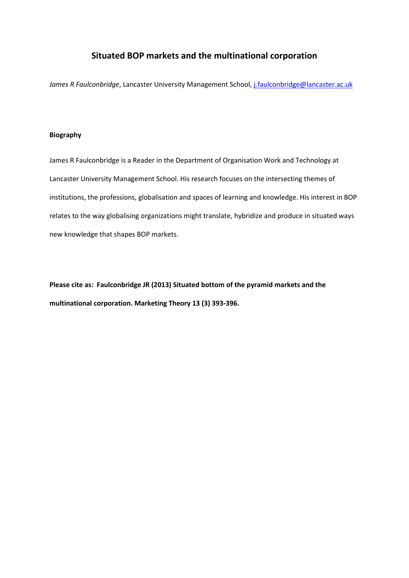# **Situated BOP markets and the multinational corporation**

James R Faulconbridge, Lancaster University Management School[, j.faulconbridge@lancaster.ac.uk](mailto:j.faulconbridge@lancaster.ac.uk)

#### **Biography**

James R Faulconbridge is a Reader in the Department of Organisation Work and Technology at Lancaster University Management School. His research focuses on the intersecting themes of institutions, the professions, globalisation and spaces of learning and knowledge. His interest in BOP relates to the way globalising organizations might translate, hybridize and produce in situated ways new knowledge that shapes BOP markets.

**Please cite as: Faulconbridge JR (2013) Situated bottom of the pyramid markets and the multinational corporation. Marketing Theory 13 (3) 393-396.**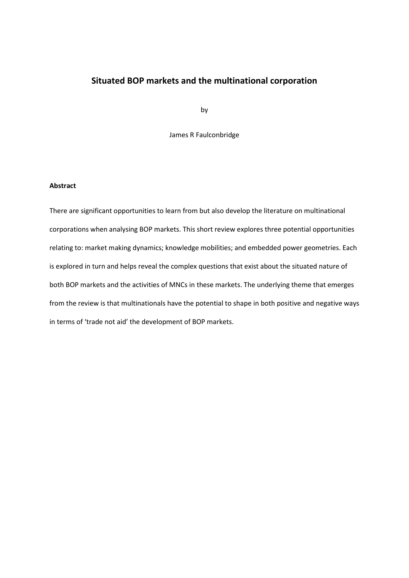# **Situated BOP markets and the multinational corporation**

by

James R Faulconbridge

### **Abstract**

There are significant opportunities to learn from but also develop the literature on multinational corporations when analysing BOP markets. This short review explores three potential opportunities relating to: market making dynamics; knowledge mobilities; and embedded power geometries. Each is explored in turn and helps reveal the complex questions that exist about the situated nature of both BOP markets and the activities of MNCs in these markets. The underlying theme that emerges from the review is that multinationals have the potential to shape in both positive and negative ways in terms of 'trade not aid' the development of BOP markets.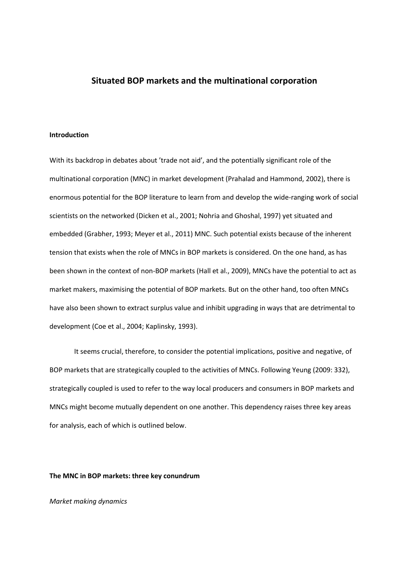## **Situated BOP markets and the multinational corporation**

#### **Introduction**

With its backdrop in debates about 'trade not aid', and the potentially significant role of the multinational corporation (MNC) in market development (Prahalad and Hammond, 2002), there is enormous potential for the BOP literature to learn from and develop the wide-ranging work of social scientists on the networked (Dicken et al., 2001; Nohria and Ghoshal, 1997) yet situated and embedded (Grabher, 1993; Meyer et al., 2011) MNC. Such potential exists because of the inherent tension that exists when the role of MNCs in BOP markets is considered. On the one hand, as has been shown in the context of non-BOP markets (Hall et al., 2009), MNCs have the potential to act as market makers, maximising the potential of BOP markets. But on the other hand, too often MNCs have also been shown to extract surplus value and inhibit upgrading in ways that are detrimental to development (Coe et al., 2004; Kaplinsky, 1993).

It seems crucial, therefore, to consider the potential implications, positive and negative, of BOP markets that are strategically coupled to the activities of MNCs. Following Yeung (2009: 332), strategically coupled is used to refer to the way local producers and consumers in BOP markets and MNCs might become mutually dependent on one another. This dependency raises three key areas for analysis, each of which is outlined below.

**The MNC in BOP markets: three key conundrum** 

*Market making dynamics*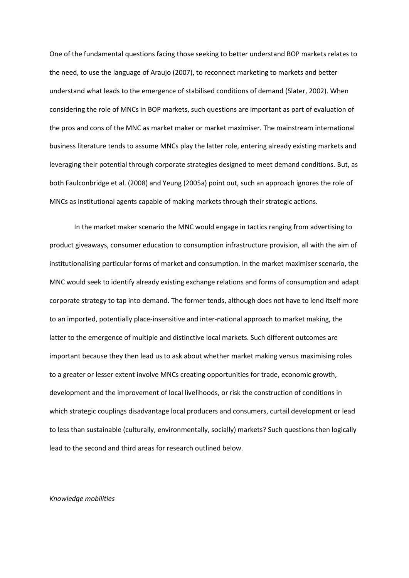One of the fundamental questions facing those seeking to better understand BOP markets relates to the need, to use the language of Araujo (2007), to reconnect marketing to markets and better understand what leads to the emergence of stabilised conditions of demand (Slater, 2002). When considering the role of MNCs in BOP markets, such questions are important as part of evaluation of the pros and cons of the MNC as market maker or market maximiser. The mainstream international business literature tends to assume MNCs play the latter role, entering already existing markets and leveraging their potential through corporate strategies designed to meet demand conditions. But, as both Faulconbridge et al. (2008) and Yeung (2005a) point out, such an approach ignores the role of MNCs as institutional agents capable of making markets through their strategic actions.

In the market maker scenario the MNC would engage in tactics ranging from advertising to product giveaways, consumer education to consumption infrastructure provision, all with the aim of institutionalising particular forms of market and consumption. In the market maximiser scenario, the MNC would seek to identify already existing exchange relations and forms of consumption and adapt corporate strategy to tap into demand. The former tends, although does not have to lend itself more to an imported, potentially place-insensitive and inter-national approach to market making, the latter to the emergence of multiple and distinctive local markets. Such different outcomes are important because they then lead us to ask about whether market making versus maximising roles to a greater or lesser extent involve MNCs creating opportunities for trade, economic growth, development and the improvement of local livelihoods, or risk the construction of conditions in which strategic couplings disadvantage local producers and consumers, curtail development or lead to less than sustainable (culturally, environmentally, socially) markets? Such questions then logically lead to the second and third areas for research outlined below.

#### *Knowledge mobilities*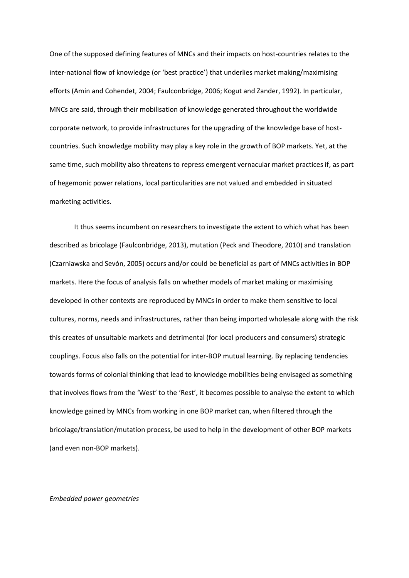One of the supposed defining features of MNCs and their impacts on host-countries relates to the inter-national flow of knowledge (or 'best practice') that underlies market making/maximising efforts (Amin and Cohendet, 2004; Faulconbridge, 2006; Kogut and Zander, 1992). In particular, MNCs are said, through their mobilisation of knowledge generated throughout the worldwide corporate network, to provide infrastructures for the upgrading of the knowledge base of hostcountries. Such knowledge mobility may play a key role in the growth of BOP markets. Yet, at the same time, such mobility also threatens to repress emergent vernacular market practices if, as part of hegemonic power relations, local particularities are not valued and embedded in situated marketing activities.

It thus seems incumbent on researchers to investigate the extent to which what has been described as bricolage (Faulconbridge, 2013), mutation (Peck and Theodore, 2010) and translation (Czarniawska and Sevón, 2005) occurs and/or could be beneficial as part of MNCs activities in BOP markets. Here the focus of analysis falls on whether models of market making or maximising developed in other contexts are reproduced by MNCs in order to make them sensitive to local cultures, norms, needs and infrastructures, rather than being imported wholesale along with the risk this creates of unsuitable markets and detrimental (for local producers and consumers) strategic couplings. Focus also falls on the potential for inter-BOP mutual learning. By replacing tendencies towards forms of colonial thinking that lead to knowledge mobilities being envisaged as something that involves flows from the 'West' to the 'Rest', it becomes possible to analyse the extent to which knowledge gained by MNCs from working in one BOP market can, when filtered through the bricolage/translation/mutation process, be used to help in the development of other BOP markets (and even non-BOP markets).

#### *Embedded power geometries*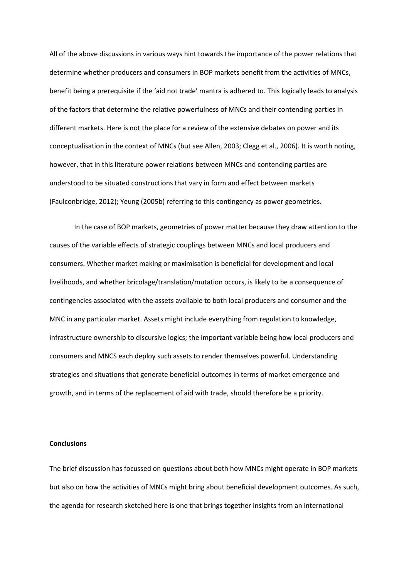All of the above discussions in various ways hint towards the importance of the power relations that determine whether producers and consumers in BOP markets benefit from the activities of MNCs, benefit being a prerequisite if the 'aid not trade' mantra is adhered to. This logically leads to analysis of the factors that determine the relative powerfulness of MNCs and their contending parties in different markets. Here is not the place for a review of the extensive debates on power and its conceptualisation in the context of MNCs (but see Allen, 2003; Clegg et al., 2006). It is worth noting, however, that in this literature power relations between MNCs and contending parties are understood to be situated constructions that vary in form and effect between markets (Faulconbridge, 2012); Yeung (2005b) referring to this contingency as power geometries.

In the case of BOP markets, geometries of power matter because they draw attention to the causes of the variable effects of strategic couplings between MNCs and local producers and consumers. Whether market making or maximisation is beneficial for development and local livelihoods, and whether bricolage/translation/mutation occurs, is likely to be a consequence of contingencies associated with the assets available to both local producers and consumer and the MNC in any particular market. Assets might include everything from regulation to knowledge, infrastructure ownership to discursive logics; the important variable being how local producers and consumers and MNCS each deploy such assets to render themselves powerful. Understanding strategies and situations that generate beneficial outcomes in terms of market emergence and growth, and in terms of the replacement of aid with trade, should therefore be a priority.

#### **Conclusions**

The brief discussion has focussed on questions about both how MNCs might operate in BOP markets but also on how the activities of MNCs might bring about beneficial development outcomes. As such, the agenda for research sketched here is one that brings together insights from an international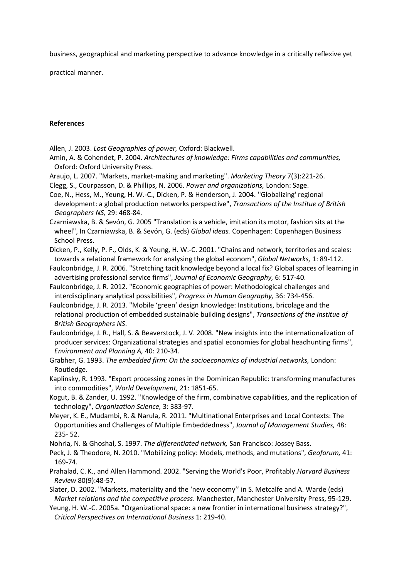business, geographical and marketing perspective to advance knowledge in a critically reflexive yet

practical manner.

### **References**

Allen, J. 2003. *Lost Geographies of power,* Oxford: Blackwell.

- Amin, A. & Cohendet, P. 2004. *Architectures of knowledge: Firms capabilities and communities,*  Oxford: Oxford University Press.
- Araujo, L. 2007. "Markets, market-making and marketing". *Marketing Theory* 7(3):221-26.
- Clegg, S., Courpasson, D. & Phillips, N. 2006. *Power and organizations,* London: Sage.
- Coe, N., Hess, M., Yeung, H. W.-C., Dicken, P. & Henderson, J. 2004. ''Globalizing' regional development: a global production networks perspective", *Transactions of the Institue of British Geographers NS,* 29: 468-84.
- Czarniawska, B. & Sevón, G. 2005 "Translation is a vehicle, imitation its motor, fashion sits at the wheel", In Czarniawska, B. & Sevón, G. (eds) *Global ideas.* Copenhagen: Copenhagen Business School Press.
- Dicken, P., Kelly, P. F., Olds, K. & Yeung, H. W.-C. 2001. "Chains and network, territories and scales: towards a relational framework for analysing the global econom", *Global Networks,* 1: 89-112.
- Faulconbridge, J. R. 2006. "Stretching tacit knowledge beyond a local fix? Global spaces of learning in advertising professional service firms", *Journal of Economic Geography,* 6: 517-40.
- Faulconbridge, J. R. 2012. "Economic geographies of power: Methodological challenges and interdisciplinary analytical possibilities", *Progress in Human Geography,* 36: 734-456.
- Faulconbridge, J. R. 2013. "Mobile 'green' design knowledge: Institutions, bricolage and the relational production of embedded sustainable building designs", *Transactions of the Institue of British Geographers NS*.
- Faulconbridge, J. R., Hall, S. & Beaverstock, J. V. 2008. "New insights into the internationalization of producer services: Organizational strategies and spatial economies for global headhunting firms", *Environment and Planning A,* 40: 210-34.
- Grabher, G. 1993. *The embedded firm: On the socioeconomics of industrial networks,* London: Routledge.
- Kaplinsky, R. 1993. "Export processing zones in the Dominican Republic: transforming manufactures into commodities", *World Development,* 21: 1851-65.
- Kogut, B. & Zander, U. 1992. "Knowledge of the firm, combinative capabilities, and the replication of technology", *Organization Science,* 3: 383-97.
- Meyer, K. E., Mudambi, R. & Narula, R. 2011. "Multinational Enterprises and Local Contexts: The Opportunities and Challenges of Multiple Embeddedness", *Journal of Management Studies,* 48: 235- 52.
- Nohria, N. & Ghoshal, S. 1997. *The differentiated network,* San Francisco: Jossey Bass.
- Peck, J. & Theodore, N. 2010. "Mobilizing policy: Models, methods, and mutations", *Geoforum,* 41: 169-74.
- Prahalad, C. K., and Allen Hammond. 2002. "Serving the World's Poor, Profitably.*Harvard Business Review* 80(9):48-57.
- Slater, D. 2002. "Markets, materiality and the 'new economy'' in S. Metcalfe and A. Warde (eds) *Market relations and the competitive process*. Manchester, Manchester University Press, 95-129.
- Yeung, H. W.-C. 2005a. "Organizational space: a new frontier in international business strategy?", *Critical Perspectives on International Business* 1: 219-40.